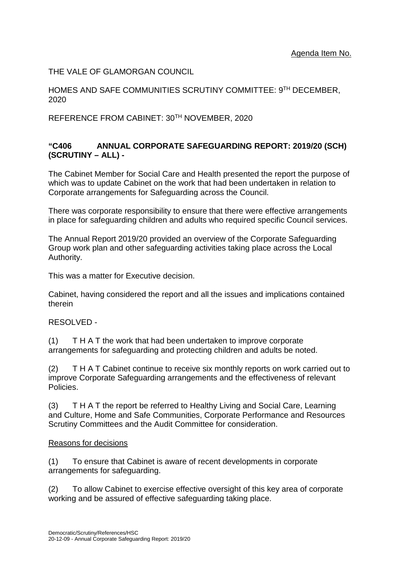THE VALE OF GLAMORGAN COUNCIL

HOMES AND SAFE COMMUNITIES SCRUTINY COMMITTEE: 9TH DECEMBER, 2020

REFERENCE FROM CABINET: 30TH NOVEMBER, 2020

## **"C406 ANNUAL CORPORATE SAFEGUARDING REPORT: 2019/20 (SCH) (SCRUTINY – ALL) -**

The Cabinet Member for Social Care and Health presented the report the purpose of which was to update Cabinet on the work that had been undertaken in relation to Corporate arrangements for Safeguarding across the Council.

There was corporate responsibility to ensure that there were effective arrangements in place for safeguarding children and adults who required specific Council services.

The Annual Report 2019/20 provided an overview of the Corporate Safeguarding Group work plan and other safeguarding activities taking place across the Local Authority.

This was a matter for Executive decision.

Cabinet, having considered the report and all the issues and implications contained therein

## RESOLVED -

(1) T H A T the work that had been undertaken to improve corporate arrangements for safeguarding and protecting children and adults be noted.

(2) T H A T Cabinet continue to receive six monthly reports on work carried out to improve Corporate Safeguarding arrangements and the effectiveness of relevant Policies.

(3) T H A T the report be referred to Healthy Living and Social Care, Learning and Culture, Home and Safe Communities, Corporate Performance and Resources Scrutiny Committees and the Audit Committee for consideration.

## Reasons for decisions

(1) To ensure that Cabinet is aware of recent developments in corporate arrangements for safeguarding.

(2) To allow Cabinet to exercise effective oversight of this key area of corporate working and be assured of effective safeguarding taking place.